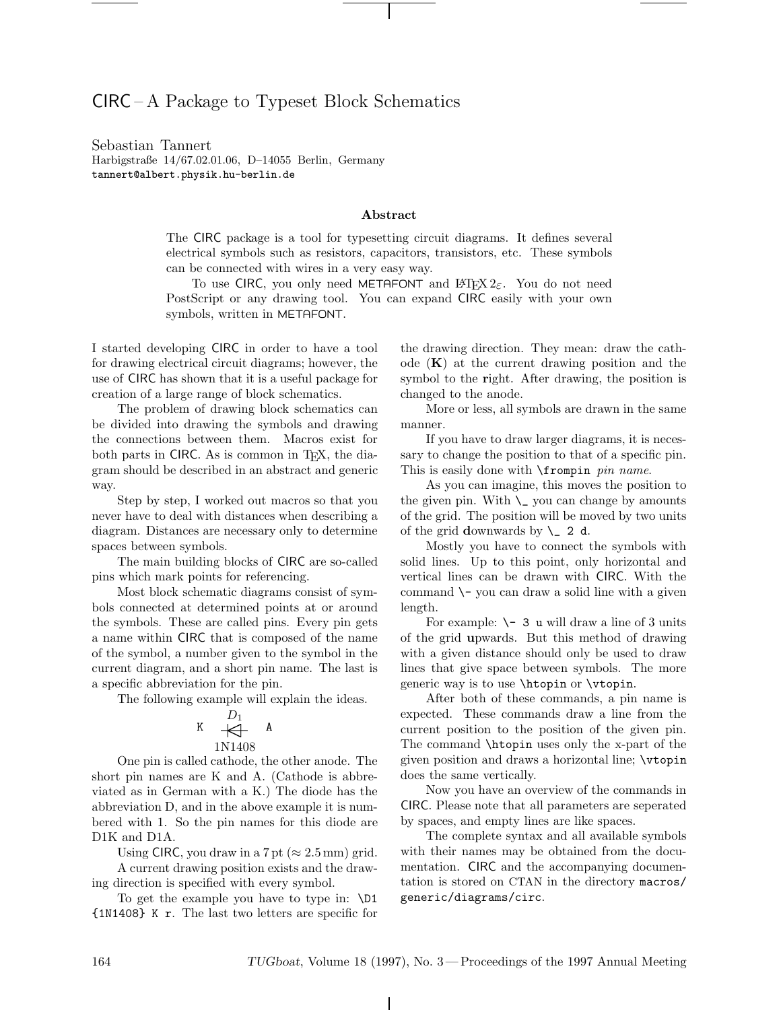## CIRC – A Package to Typeset Block Schematics

Sebastian Tannert Harbigstraße 14/67.02.01.06, D–14055 Berlin, Germany tannert@albert.physik.hu-berlin.de

## **Abstract**

The CIRC package is a tool for typesetting circuit diagrams. It defines several electrical symbols such as resistors, capacitors, transistors, etc. These symbols can be connected with wires in a very easy way.

To use CIRC, you only need METAFONT and LATEX  $2\varepsilon$ . You do not need PostScript or any drawing tool. You can expand CIRC easily with your own symbols, written in METAFONT.

I started developing CIRC in order to have a tool for drawing electrical circuit diagrams; however, the use of CIRC has shown that it is a useful package for creation of a large range of block schematics.

The problem of drawing block schematics can be divided into drawing the symbols and drawing the connections between them. Macros exist for both parts in CIRC. As is common in T<sub>E</sub>X, the diagram should be described in an abstract and generic way.

Step by step, I worked out macros so that you never have to deal with distances when describing a diagram. Distances are necessary only to determine spaces between symbols.

The main building blocks of CIRC are so-called pins which mark points for referencing.

Most block schematic diagrams consist of symbols connected at determined points at or around the symbols. These are called pins. Every pin gets a name within CIRC that is composed of the name of the symbol, a number given to the symbol in the current diagram, and a short pin name. The last is a specific abbreviation for the pin.

The following example will explain the ideas.

$$
\begin{array}{ccc}\n & D_1 \\
\mathsf{K} & \xleftarrow{\mathsf{B}} & \mathsf{A} \\
 & 1 \text{N} 1408\n\end{array}
$$

One pin is called cathode, the other anode. The short pin names are K and A. (Cathode is abbreviated as in German with a K.) The diode has the abbreviation D, and in the above example it is numbered with 1. So the pin names for this diode are D1K and D1A.

Using CIRC, you draw in a 7 pt ( $\approx 2.5$  mm) grid.

A current drawing position exists and the drawing direction is specified with every symbol.

To get the example you have to type in: \D1 {1N1408} K r. The last two letters are specific for the drawing direction. They mean: draw the cathode (**K**) at the current drawing position and the symbol to the **r**ight. After drawing, the position is changed to the anode.

More or less, all symbols are drawn in the same manner.

If you have to draw larger diagrams, it is necessary to change the position to that of a specific pin. This is easily done with  $\Gamma$  pin name.

As you can imagine, this moves the position to the given pin. With  $\setminus$  you can change by amounts of the grid. The position will be moved by two units of the grid **d**ownwards by  $\angle$  2 d.

Mostly you have to connect the symbols with solid lines. Up to this point, only horizontal and vertical lines can be drawn with CIRC. With the command  $\setminus$ - you can draw a solid line with a given length.

For example:  $\setminus$  - 3 u will draw a line of 3 units of the grid **u**pwards. But this method of drawing with a given distance should only be used to draw lines that give space between symbols. The more generic way is to use \htopin or \vtopin.

 $K \leftarrow A$  A current position to the position of the given pin. After both of these commands, a pin name is expected. These commands draw a line from the The command \htopin uses only the x-part of the given position and draws a horizontal line; \vtopin does the same vertically.

> Now you have an overview of the commands in CIRC. Please note that all parameters are seperated by spaces, and empty lines are like spaces.

> The complete syntax and all available symbols with their names may be obtained from the documentation. CIRC and the accompanying documentation is stored on CTAN in the directory macros/ generic/diagrams/circ.